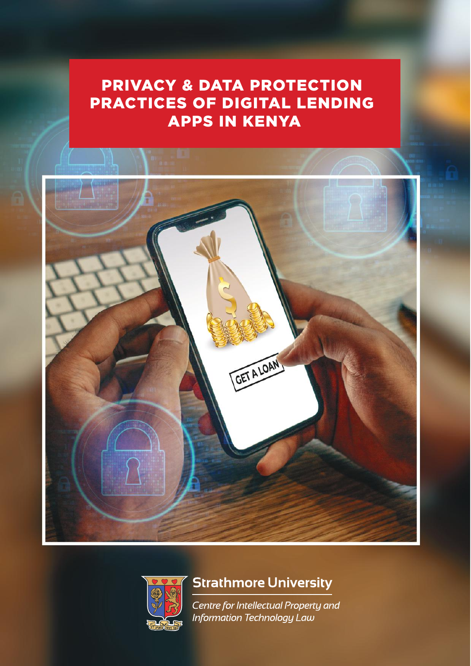# PRIVACY & DATA PROTECTION PRACTICES OF DIGITAL LENDING APPS IN KENYA





# **Strathmore University**

Centre for Intellectual Property and Information Technology Law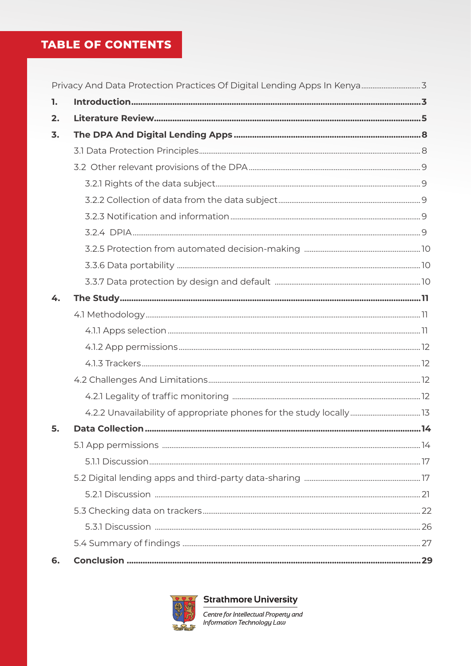### **TABLE OF CONTENTS**

| 1. |  |
|----|--|
| 2. |  |
| 3. |  |
|    |  |
|    |  |
|    |  |
|    |  |
|    |  |
|    |  |
|    |  |
|    |  |
|    |  |
| 4. |  |
|    |  |
|    |  |
|    |  |
|    |  |
|    |  |
|    |  |
|    |  |
| 5. |  |
|    |  |
|    |  |
|    |  |
|    |  |
|    |  |
|    |  |
|    |  |
| 6. |  |



**Strathmore University** 

Centre for Intellectual Property and<br>Information Technology Law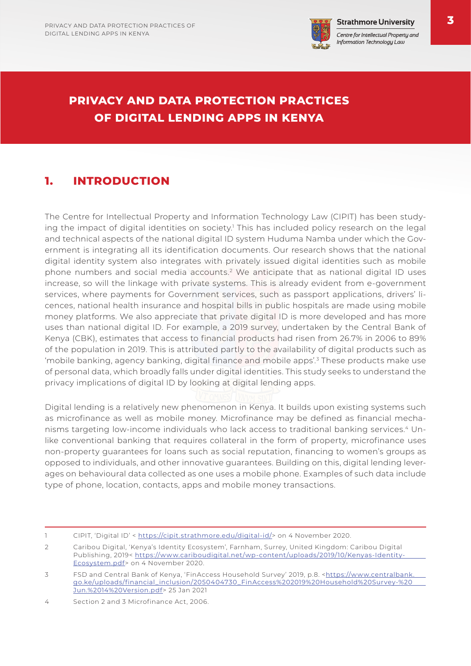

Centre for Intellectual Property and Information Technology Law

## **PRIVACY AND DATA PROTECTION PRACTICES OF DIGITAL LENDING APPS IN KENYA**

### **1. INTRODUCTION**

The Centre for Intellectual Property and Information Technology Law (CIPIT) has been studying the impact of digital identities on society.<sup>1</sup> This has included policy research on the legal and technical aspects of the national digital ID system Huduma Namba under which the Government is integrating all its identification documents. Our research shows that the national digital identity system also integrates with privately issued digital identities such as mobile phone numbers and social media accounts.2 We anticipate that as national digital ID uses increase, so will the linkage with private systems. This is already evident from e-government services, where payments for Government services, such as passport applications, drivers' licences, national health insurance and hospital bills in public hospitals are made using mobile money platforms. We also appreciate that private digital ID is more developed and has more uses than national digital ID. For example, a 2019 survey, undertaken by the Central Bank of Kenya (CBK), estimates that access to financial products had risen from 26.7% in 2006 to 89% of the population in 2019. This is attributed partly to the availability of digital products such as 'mobile banking, agency banking, digital finance and mobile apps'.3 These products make use of personal data, which broadly falls under digital identities. This study seeks to understand the privacy implications of digital ID by looking at digital lending apps.

Digital lending is a relatively new phenomenon in Kenya. It builds upon existing systems such as microfinance as well as mobile money. Microfinance may be defined as financial mechanisms targeting low-income individuals who lack access to traditional banking services.4 Unlike conventional banking that requires collateral in the form of property, microfinance uses non-property guarantees for loans such as social reputation, financing to women's groups as opposed to individuals, and other innovative guarantees. Building on this, digital lending leverages on behavioural data collected as one uses a mobile phone. Examples of such data include type of phone, location, contacts, apps and mobile money transactions.

<sup>1</sup> CIPIT, 'Digital ID' < https://cipit.strathmore.edu/digital-id/> on 4 November 2020.

<sup>2</sup> Caribou Digital, 'Kenya's Identity Ecosystem', Farnham, Surrey, United Kingdom: Caribou Digital Publishing, 2019< https://www.cariboudigital.net/wp-content/uploads/2019/10/Kenyas-Identity-Ecosystem.pdf> on 4 November 2020.

<sup>3</sup> FSD and Central Bank of Kenya, 'FinAccess Household Survey' 2019, p.8. <https://www.centralbank. go.ke/uploads/financial\_inclusion/2050404730\_FinAccess%202019%20Household%20Survey-%20 Jun.%2014%20Version.pdf> 25 Jan 2021

<sup>4</sup> Section 2 and 3 Microfinance Act, 2006.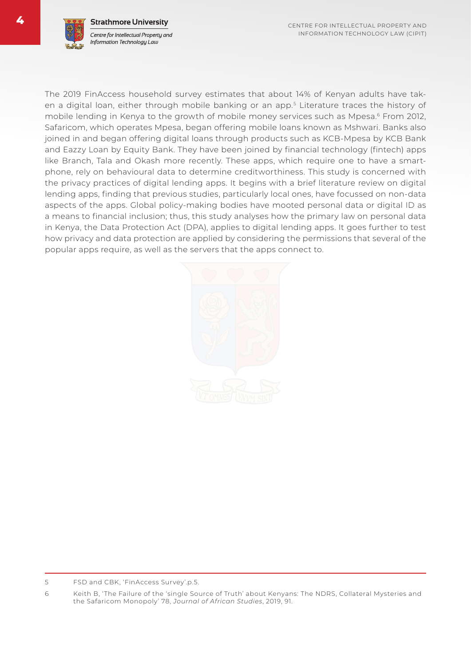The 2019 FinAccess household survey estimates that about 14% of Kenyan adults have taken a digital loan, either through mobile banking or an app. <sup>5</sup> Literature traces the history of mobile lending in Kenya to the growth of mobile money services such as Mpesa.<sup>6</sup> From 2012, Safaricom, which operates Mpesa, began offering mobile loans known as Mshwari. Banks also joined in and began offering digital loans through products such as KCB-Mpesa by KCB Bank and Eazzy Loan by Equity Bank. They have been joined by financial technology (fintech) apps like Branch, Tala and Okash more recently. These apps, which require one to have a smartphone, rely on behavioural data to determine creditworthiness. This study is concerned with the privacy practices of digital lending apps. It begins with a brief literature review on digital lending apps, finding that previous studies, particularly local ones, have focussed on non-data aspects of the apps. Global policy-making bodies have mooted personal data or digital ID as a means to financial inclusion; thus, this study analyses how the primary law on personal data in Kenya, the Data Protection Act (DPA), applies to digital lending apps. It goes further to test how privacy and data protection are applied by considering the permissions that several of the popular apps require, as well as the servers that the apps connect to.



<sup>5</sup> FSD and CBK, 'FinAccess Survey'.p.5.

<sup>6</sup> Keith B, 'The Failure of the 'single Source of Truth' about Kenyans: The NDRS, Collateral Mysteries and the Safaricom Monopoly' 78, *Journal of African Studies*, 2019, 91.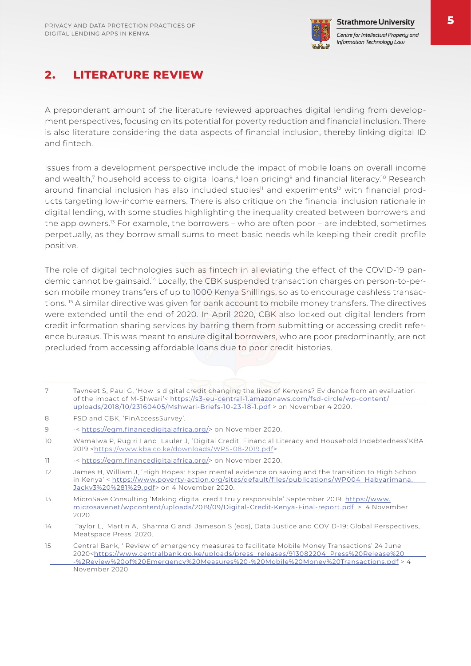

### **2. LITERATURE REVIEW**

A preponderant amount of the literature reviewed approaches digital lending from development perspectives, focusing on its potential for poverty reduction and financial inclusion. There is also literature considering the data aspects of financial inclusion, thereby linking digital ID and fintech.

Issues from a development perspective include the impact of mobile loans on overall income and wealth,<sup>7</sup> household access to digital loans,<sup>8</sup> loan pricing<sup>9</sup> and financial literacy.<sup>10</sup> Research around financial inclusion has also included studies<sup>11</sup> and experiments<sup>12</sup> with financial products targeting low-income earners. There is also critique on the financial inclusion rationale in digital lending, with some studies highlighting the inequality created between borrowers and the app owners.<sup>13</sup> For example, the borrowers – who are often poor – are indebted, sometimes perpetually, as they borrow small sums to meet basic needs while keeping their credit profile positive.

The role of digital technologies such as fintech in alleviating the effect of the COVID-19 pandemic cannot be gainsaid.14 Locally, the CBK suspended transaction charges on person-to-person mobile money transfers of up to 1000 Kenya Shillings, so as to encourage cashless transactions.<sup>15</sup> A similar directive was given for bank account to mobile money transfers. The directives were extended until the end of 2020. In April 2020, CBK also locked out digital lenders from credit information sharing services by barring them from submitting or accessing credit reference bureaus. This was meant to ensure digital borrowers, who are poor predominantly, are not precluded from accessing affordable loans due to poor credit histories.

- 7 Tavneet S, Paul G, 'How is digital credit changing the lives of Kenyans? Evidence from an evaluation of the impact of M-Shwari'< https://s3-eu-central-1.amazonaws.com/fsd-circle/wp-content/ uploads/2018/10/23160405/Mshwari-Briefs-10-23-18-1.pdf > on November 4 2020.
- 8 FSD and CBK, 'FinAccessSurvey'.
- 9 -< https://egm.financedigitalafrica.org/> on November 2020.
- 10 Wamalwa P, Rugiri I and Lauler J, 'Digital Credit, Financial Literacy and Household Indebtedness'KBA 2019 <https://www.kba.co.ke/downloads/WPS-08-2019.pdf>
- 11 https://egm.financedigitalafrica.org/> on November 2020.
- 12 James H, William J, 'High Hopes: Experimental evidence on saving and the transition to High School in Kenya' < https://www.poverty-action.org/sites/default/files/publications/WP004\_Habyarimana. Jackv3%20%281%29.pdf> on 4 November 2020.
- 13 MicroSave Consulting 'Making digital credit truly responsible' September 2019. https://www. microsavenet/wpcontent/uploads/2019/09/Digital-Credit-Kenya-Final-report.pdf > 4 November 2020.
- 14 Taylor L, Martin A, Sharma G and Jameson S (eds), Data Justice and COVID-19: Global Perspectives, Meatspace Press, 2020.
- 15 Central Bank, ' Review of emergency measures to facilitate Mobile Money Transactions' 24 June 2020<https://www.centralbank.go.ke/uploads/press\_releases/913082204\_Press%20Release%20 -%2Review%20of%20Emergency%20Measures%20-%20Mobile%20Money%20Transactions.pdf > 4 November 2020.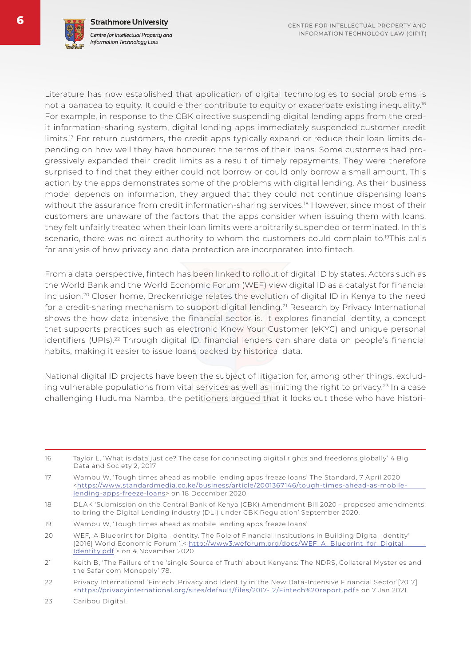

Literature has now established that application of digital technologies to social problems is not a panacea to equity. It could either contribute to equity or exacerbate existing inequality.<sup>16</sup> For example, in response to the CBK directive suspending digital lending apps from the credit information-sharing system, digital lending apps immediately suspended customer credit limits.<sup>17</sup> For return customers, the credit apps typically expand or reduce their loan limits depending on how well they have honoured the terms of their loans. Some customers had progressively expanded their credit limits as a result of timely repayments. They were therefore surprised to find that they either could not borrow or could only borrow a small amount. This action by the apps demonstrates some of the problems with digital lending. As their business model depends on information, they argued that they could not continue dispensing loans without the assurance from credit information-sharing services.<sup>18</sup> However, since most of their customers are unaware of the factors that the apps consider when issuing them with loans, they felt unfairly treated when their loan limits were arbitrarily suspended or terminated. In this scenario, there was no direct authority to whom the customers could complain to.<sup>19</sup>This calls for analysis of how privacy and data protection are incorporated into fintech.

From a data perspective, fintech has been linked to rollout of digital ID by states. Actors such as the World Bank and the World Economic Forum (WEF) view digital ID as a catalyst for financial inclusion.20 Closer home, Breckenridge relates the evolution of digital ID in Kenya to the need for a credit-sharing mechanism to support digital lending.<sup>21</sup> Research by Privacy International shows the how data intensive the financial sector is. It explores financial identity, a concept that supports practices such as electronic Know Your Customer (eKYC) and unique personal identifiers (UPIs).<sup>22</sup> Through digital ID, financial lenders can share data on people's financial habits, making it easier to issue loans backed by historical data.

National digital ID projects have been the subject of litigation for, among other things, excluding vulnerable populations from vital services as well as limiting the right to privacy.<sup>23</sup> In a case challenging Huduma Namba, the petitioners argued that it locks out those who have histori-

16 Taylor L, 'What is data justice? The case for connecting digital rights and freedoms globally' 4 Big Data and Society 2, 2017

- 19 Wambu W, 'Tough times ahead as mobile lending apps freeze loans'
- 20 WEF, 'A Blueprint for Digital Identity. The Role of Financial Institutions in Building Digital Identity' [2016] World Economic Forum 1.< http://www3.weforum.org/docs/WEF\_A\_Blueprint\_for\_Digital\_ Identity.pdf > on 4 November 2020.
- 21 Keith B, 'The Failure of the 'single Source of Truth' about Kenyans: The NDRS, Collateral Mysteries and the Safaricom Monopoly' 78.
- 22 Privacy International 'Fintech: Privacy and Identity in the New Data-Intensive Financial Sector'[2017] <https://privacyinternational.org/sites/default/files/2017-12/Fintech%20report.pdf> on 7 Jan 2021
- 23 Caribou Digital.

<sup>17</sup> Wambu W, 'Tough times ahead as mobile lending apps freeze loans' The Standard, 7 April 2020 <https://www.standardmedia.co.ke/business/article/2001367146/tough-times-ahead-as-mobilelending-apps-freeze-loans> on 18 December 2020.

<sup>18</sup> DLAK 'Submission on the Central Bank of Kenya (CBK) Amendment Bill 2020 - proposed amendments to bring the Digital Lending industry (DLI) under CBK Regulation' September 2020.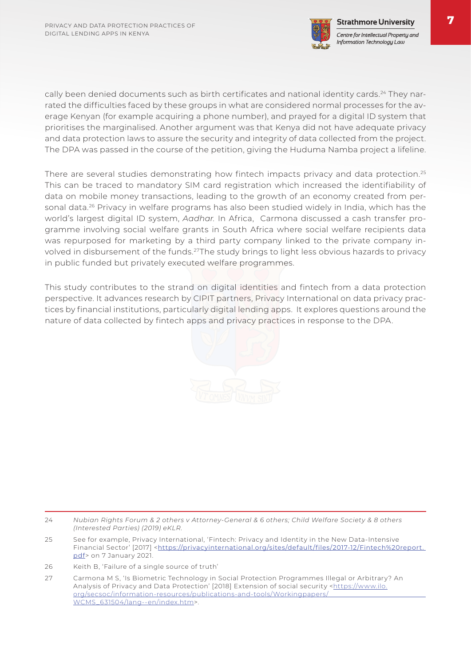

cally been denied documents such as birth certificates and national identity cards.<sup>24</sup> They narrated the difficulties faced by these groups in what are considered normal processes for the average Kenyan (for example acquiring a phone number), and prayed for a digital ID system that prioritises the marginalised. Another argument was that Kenya did not have adequate privacy and data protection laws to assure the security and integrity of data collected from the project. The DPA was passed in the course of the petition, giving the Huduma Namba project a lifeline.

There are several studies demonstrating how fintech impacts privacy and data protection.<sup>25</sup> This can be traced to mandatory SIM card registration which increased the identifiability of data on mobile money transactions, leading to the growth of an economy created from personal data.<sup>26</sup> Privacy in welfare programs has also been studied widely in India, which has the world's largest digital ID system, *Aadhar.* In Africa, Carmona discussed a cash transfer programme involving social welfare grants in South Africa where social welfare recipients data was repurposed for marketing by a third party company linked to the private company involved in disbursement of the funds.27The study brings to light less obvious hazards to privacy in public funded but privately executed welfare programmes.

This study contributes to the strand on digital identities and fintech from a data protection perspective. It advances research by CIPIT partners, Privacy International on data privacy practices by financial institutions, particularly digital lending apps. It explores questions around the nature of data collected by fintech apps and privacy practices in response to the DPA.



- 25 See for example, Privacy International, 'Fintech: Privacy and Identity in the New Data-Intensive Financial Sector' [2017] <https://privacyinternational.org/sites/default/files/2017-12/Fintech%20report. pdf> on 7 January 2021.
- 26 Keith B, 'Failure of a single source of truth'
- 27 Carmona M S, 'Is Biometric Technology in Social Protection Programmes Illegal or Arbitrary? An Analysis of Privacy and Data Protection' [2018] Extension of social security <https://www.ilo. org/secsoc/information-resources/publications-and-tools/Workingpapers/ WCMS\_631504/lang--en/index.htm>.

<sup>24</sup> *Nubian Rights Forum & 2 others v Attorney-General & 6 others; Child Welfare Society & 8 others (Interested Parties) (2019) eKLR.*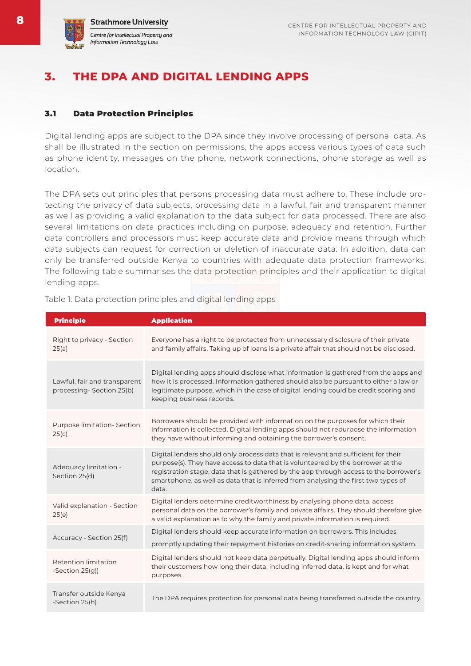

### **3. THE DPA AND DIGITAL LENDING APPS**

#### 3.1 Data Protection Principles

Digital lending apps are subject to the DPA since they involve processing of personal data. As shall be illustrated in the section on permissions, the apps access various types of data such as phone identity, messages on the phone, network connections, phone storage as well as location.

The DPA sets out principles that persons processing data must adhere to. These include protecting the privacy of data subjects, processing data in a lawful, fair and transparent manner as well as providing a valid explanation to the data subject for data processed. There are also several limitations on data practices including on purpose, adequacy and retention. Further data controllers and processors must keep accurate data and provide means through which data subjects can request for correction or deletion of inaccurate data. In addition, data can only be transferred outside Kenya to countries with adequate data protection frameworks. The following table summarises the data protection principles and their application to digital lending apps.

| <b>Principle</b>                                         | <b>Application</b>                                                                                                                                                                                                                                                                                                                                            |
|----------------------------------------------------------|---------------------------------------------------------------------------------------------------------------------------------------------------------------------------------------------------------------------------------------------------------------------------------------------------------------------------------------------------------------|
| Right to privacy - Section<br>25(a)                      | Everyone has a right to be protected from unnecessary disclosure of their private<br>and family affairs. Taking up of loans is a private affair that should not be disclosed.                                                                                                                                                                                 |
| Lawful, fair and transparent<br>processing-Section 25(b) | Digital lending apps should disclose what information is gathered from the apps and<br>how it is processed. Information gathered should also be pursuant to either a law or<br>legitimate purpose, which in the case of digital lending could be credit scoring and<br>keeping business records.                                                              |
| Purpose limitation- Section<br>25(c)                     | Borrowers should be provided with information on the purposes for which their<br>information is collected. Digital lending apps should not repurpose the information<br>they have without informing and obtaining the borrower's consent.                                                                                                                     |
| Adequacy limitation -<br>Section 25(d)                   | Digital lenders should only process data that is relevant and sufficient for their<br>purpose(s). They have access to data that is volunteered by the borrower at the<br>registration stage, data that is gathered by the app through access to the borrower's<br>smartphone, as well as data that is inferred from analysing the first two types of<br>data. |
| Valid explanation - Section<br>25(e)                     | Digital lenders determine creditworthiness by analysing phone data, access<br>personal data on the borrower's family and private affairs. They should therefore give<br>a valid explanation as to why the family and private information is required.                                                                                                         |
| Accuracy - Section 25(f)                                 | Digital lenders should keep accurate information on borrowers. This includes<br>promptly updating their repayment histories on credit-sharing information system.                                                                                                                                                                                             |
| Retention limitation<br>-Section 25(g))                  | Digital lenders should not keep data perpetually. Digital lending apps should inform<br>their customers how long their data, including inferred data, is kept and for what<br>purposes.                                                                                                                                                                       |
| Transfer outside Kenya<br>-Section 25(h)                 | The DPA requires protection for personal data being transferred outside the country.                                                                                                                                                                                                                                                                          |

Table 1: Data protection principles and digital lending apps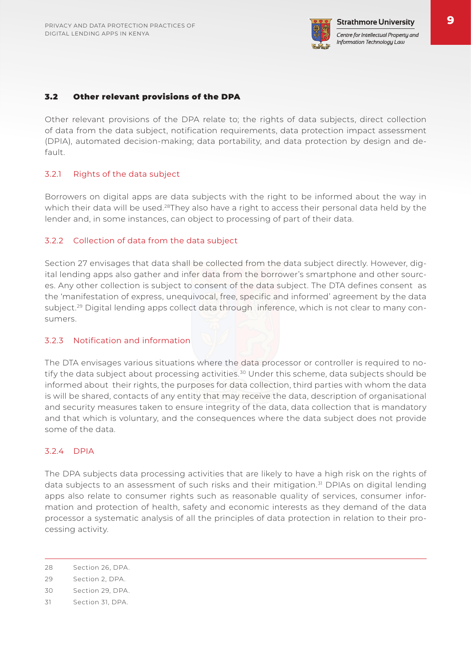

#### 3.2 Other relevant provisions of the DPA

Other relevant provisions of the DPA relate to; the rights of data subjects, direct collection of data from the data subject, notification requirements, data protection impact assessment (DPIA), automated decision-making; data portability, and data protection by design and default.

#### 3.2.1 Rights of the data subject

Borrowers on digital apps are data subjects with the right to be informed about the way in which their data will be used.<sup>28</sup>They also have a right to access their personal data held by the lender and, in some instances, can object to processing of part of their data.

#### 3.2.2 Collection of data from the data subject

Section 27 envisages that data shall be collected from the data subject directly. However, digital lending apps also gather and infer data from the borrower's smartphone and other sources. Any other collection is subject to consent of the data subject. The DTA defines consent as the 'manifestation of express, unequivocal, free, specific and informed' agreement by the data subject.<sup>29</sup> Digital lending apps collect data through inference, which is not clear to many consumers.

#### 3.2.3 Notification and information

The DTA envisages various situations where the data processor or controller is required to notify the data subject about processing activities.<sup>30</sup> Under this scheme, data subjects should be informed about their rights, the purposes for data collection, third parties with whom the data is will be shared, contacts of any entity that may receive the data, description of organisational and security measures taken to ensure integrity of the data, data collection that is mandatory and that which is voluntary, and the consequences where the data subject does not provide some of the data.

#### 3.2.4 DPIA

The DPA subjects data processing activities that are likely to have a high risk on the rights of data subjects to an assessment of such risks and their mitigation.<sup>31</sup> DPIAs on digital lending apps also relate to consumer rights such as reasonable quality of services, consumer information and protection of health, safety and economic interests as they demand of the data processor a systematic analysis of all the principles of data protection in relation to their processing activity.

<sup>28</sup> Section 26, DPA.

<sup>29</sup> Section 2, DPA.

<sup>30</sup> Section 29, DPA.

<sup>31</sup> Section 31, DPA.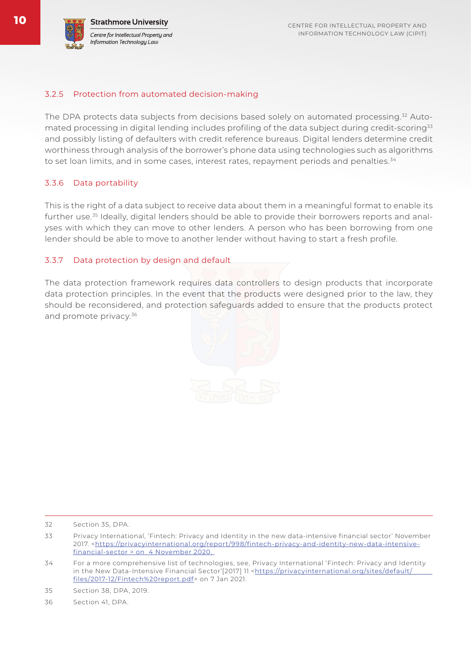#### 3.2.5 Protection from automated decision-making

The DPA protects data subjects from decisions based solely on automated processing.<sup>32</sup> Automated processing in digital lending includes profiling of the data subject during credit-scoring33 and possibly listing of defaulters with credit reference bureaus. Digital lenders determine credit worthiness through analysis of the borrower's phone data using technologies such as algorithms to set loan limits, and in some cases, interest rates, repayment periods and penalties.<sup>34</sup>

#### 3.3.6 Data portability

This is the right of a data subject to receive data about them in a meaningful format to enable its further use.35 Ideally, digital lenders should be able to provide their borrowers reports and analyses with which they can move to other lenders. A person who has been borrowing from one lender should be able to move to another lender without having to start a fresh profile.

#### 3.3.7 Data protection by design and default

The data protection framework requires data controllers to design products that incorporate data protection principles. In the event that the products were designed prior to the law, they should be reconsidered, and protection safeguards added to ensure that the products protect and promote privacy.36



<sup>32</sup> Section 35, DPA.

<sup>33</sup> Privacy International, 'Fintech: Privacy and Identity in the new data-intensive financial sector' November 2017. <https://privacyinternational.org/report/998/fintech-privacy-and-identity-new-data-intensivefinancial-sector > on 4 November 2020.

<sup>34</sup> For a more comprehensive list of technologies, see, Privacy International 'Fintech: Privacy and Identity in the New Data-Intensive Financial Sector<sup>7</sup>[2017] 11 <https://privacyinternational.org/sites/default/ files/2017-12/Fintech%20report.pdf> on 7 Jan 2021.

<sup>35</sup> Section 38, DPA, 2019.

<sup>36</sup> Section 41, DPA.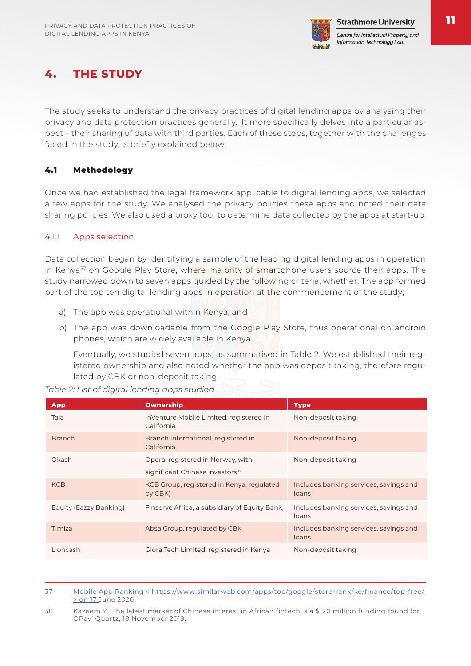

## **4. THE STUDY**

The study seeks to understand the privacy practices of digital lending apps by analysing their privacy and data protection practices generally. It more specifically delves into a particular aspect – their sharing of data with third parties. Each of these steps, together with the challenges faced in the study, is briefly explained below.

#### 4.1 Methodology

Once we had established the legal framework applicable to digital lending apps, we selected a few apps for the study. We analysed the privacy policies these apps and noted their data sharing policies. We also used a proxy tool to determine data collected by the apps at start-up.

#### 4.1.1 Apps selection

Data collection began by identifying a sample of the leading digital lending apps in operation in Kenya<sup>37</sup> on Google Play Store, where majority of smartphone users source their apps. The study narrowed down to seven apps guided by the following criteria, whether: The app formed part of the top ten digital lending apps in operation at the commencement of the study;

- a) The app was operational within Kenya; and
- b) The app was downloadable from the Google Play Store, thus operational on android phones, which are widely available in Kenya.

Eventually, we studied seven apps, as summarised in Table 2. We established their registered ownership and also noted whether the app was deposit taking, therefore regulated by CBK or non-deposit taking.

*Table 2: List of digital lending apps studied*

| <b>App</b>             | <b>Ownership</b>                                      | <b>Type</b>                                     |
|------------------------|-------------------------------------------------------|-------------------------------------------------|
| Tala                   | InVenture Mobile Limited, registered in<br>California | Non-deposit taking                              |
| <b>Branch</b>          | Branch International, registered in<br>California     | Non-deposit taking                              |
| Okash                  | Opera, registered in Norway, with                     | Non-deposit taking                              |
|                        | significant Chinese investors <sup>38</sup>           |                                                 |
| <b>KCB</b>             | KCB Group, registered in Kenya, regulated<br>by CBK)  | Includes banking services, savings and<br>loans |
| Equity (Eazzy Banking) | Finserve Africa, a subsidiary of Equity Bank,         | Includes banking services, savings and<br>loans |
| Timiza                 | Absa Group, regulated by CBK                          | Includes banking services, savings and<br>loans |
| Lioncash               | Glora Tech Limited, registered in Kenya               | Non-deposit taking                              |

- 37 Mobile App Ranking < https://www.similarweb.com/apps/top/google/store-rank/ke/finance/top-free/ > on 17 June 2020.
- 38 Kazeem Y, 'The latest marker of Chinese interest in African fintech is a \$120 million funding round for OPay' Quartz, 18 November 2019.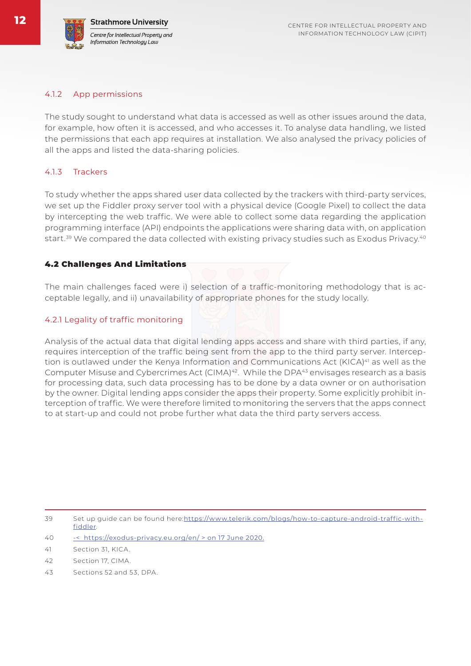#### 4.1.2 App permissions

The study sought to understand what data is accessed as well as other issues around the data, for example, how often it is accessed, and who accesses it. To analyse data handling, we listed the permissions that each app requires at installation. We also analysed the privacy policies of all the apps and listed the data-sharing policies.

#### 4.1.3 Trackers

To study whether the apps shared user data collected by the trackers with third-party services, we set up the Fiddler proxy server tool with a physical device (Google Pixel) to collect the data by intercepting the web traffic. We were able to collect some data regarding the application programming interface (API) endpoints the applications were sharing data with, on application start.<sup>39</sup> We compared the data collected with existing privacy studies such as Exodus Privacy.<sup>40</sup>

#### 4.2 Challenges And Limitations

The main challenges faced were i) selection of a traffic-monitoring methodology that is acceptable legally, and ii) unavailability of appropriate phones for the study locally.

#### 4.2.1 Legality of traffic monitoring

Analysis of the actual data that digital lending apps access and share with third parties, if any, requires interception of the traffic being sent from the app to the third party server. Interception is outlawed under the Kenya Information and Communications Act (KICA)<sup>41</sup> as well as the Computer Misuse and Cybercrimes Act (CIMA)<sup>42</sup>. While the DPA<sup>43</sup> envisages research as a basis for processing data, such data processing has to be done by a data owner or on authorisation by the owner. Digital lending apps consider the apps their property. Some explicitly prohibit interception of traffic. We were therefore limited to monitoring the servers that the apps connect to at start-up and could not probe further what data the third party servers access.

40 -< https://exodus-privacy.eu.org/en/ > on 17 June 2020.

- 42 Section 17, CIMA.
- 43 Sections 52 and 53, DPA.

<sup>39</sup> Set up guide can be found here:https://www.telerik.com/blogs/how-to-capture-android-traffic-withfiddler.

<sup>41</sup> Section 31, KICA.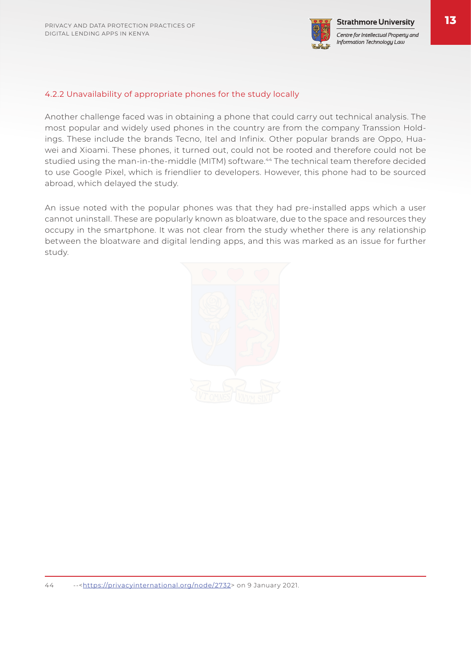

Centre for Intellectual Property and Information Technology Law

#### 4.2.2 Unavailability of appropriate phones for the study locally

Another challenge faced was in obtaining a phone that could carry out technical analysis. The most popular and widely used phones in the country are from the company Transsion Holdings. These include the brands Tecno, Itel and Infinix. Other popular brands are Oppo, Huawei and Xioami. These phones, it turned out, could not be rooted and therefore could not be studied using the man-in-the-middle (MITM) software.<sup>44</sup> The technical team therefore decided to use Google Pixel, which is friendlier to developers. However, this phone had to be sourced abroad, which delayed the study.

An issue noted with the popular phones was that they had pre-installed apps which a user cannot uninstall. These are popularly known as bloatware, due to the space and resources they occupy in the smartphone. It was not clear from the study whether there is any relationship between the bloatware and digital lending apps, and this was marked as an issue for further study.

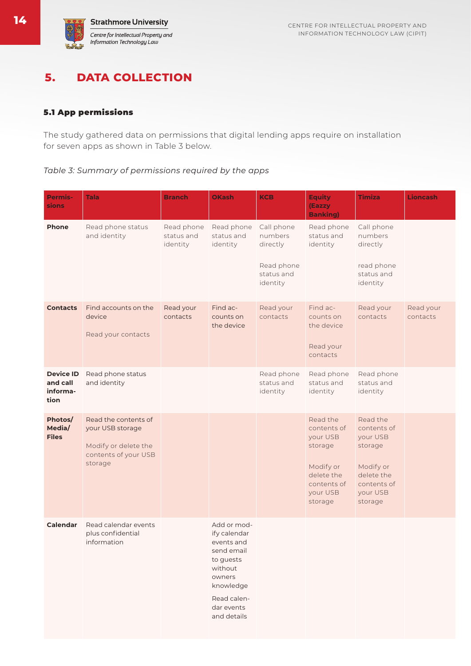### **5. DATA COLLECTION**

#### 5.1 App permissions

The study gathered data on permissions that digital lending apps require on installation for seven apps as shown in Table 3 below.

*Table 3: Summary of permissions required by the apps*

| <b>Permis-</b><br>sions                          | <b>Tala</b>                                                                                         | <b>Branch</b>                        | <b>OKash</b>                                                                                                                                       | <b>KCB</b>                                                                | <b>Equity</b><br>(Eazzy<br><b>Banking)</b>                                                                      | <b>Timiza</b>                                                                                                   | <b>Lioncash</b>       |
|--------------------------------------------------|-----------------------------------------------------------------------------------------------------|--------------------------------------|----------------------------------------------------------------------------------------------------------------------------------------------------|---------------------------------------------------------------------------|-----------------------------------------------------------------------------------------------------------------|-----------------------------------------------------------------------------------------------------------------|-----------------------|
| Phone                                            | Read phone status<br>and identity                                                                   | Read phone<br>status and<br>identity | Read phone<br>status and<br>identity                                                                                                               | Call phone<br>numbers<br>directly<br>Read phone<br>status and<br>identity | Read phone<br>status and<br>identity                                                                            | Call phone<br>numbers<br>directly<br>read phone<br>status and<br>identity                                       |                       |
| <b>Contacts</b>                                  | Find accounts on the<br>device<br>Read your contacts                                                | Read your<br>contacts                | Find ac-<br>counts on<br>the device                                                                                                                | Read your<br>contacts                                                     | Find ac-<br>counts on<br>the device<br>Read your<br>contacts                                                    | Read your<br>contacts                                                                                           | Read your<br>contacts |
| <b>Device ID</b><br>and call<br>informa-<br>tion | Read phone status<br>and identity                                                                   |                                      |                                                                                                                                                    | Read phone<br>status and<br>identity                                      | Read phone<br>status and<br>identity                                                                            | Read phone<br>status and<br>identity                                                                            |                       |
| Photos/<br>Media/<br><b>Files</b>                | Read the contents of<br>your USB storage<br>Modify or delete the<br>contents of your USB<br>storage |                                      |                                                                                                                                                    |                                                                           | Read the<br>contents of<br>your USB<br>storage<br>Modify or<br>delete the<br>contents of<br>your USB<br>storage | Read the<br>contents of<br>your USB<br>storage<br>Modify or<br>delete the<br>contents of<br>your USB<br>storage |                       |
| Calendar                                         | Read calendar events<br>plus confidential<br>information                                            |                                      | Add or mod-<br>ify calendar<br>events and<br>send email<br>to guests<br>without<br>owners<br>knowledge<br>Read calen-<br>dar events<br>and details |                                                                           |                                                                                                                 |                                                                                                                 |                       |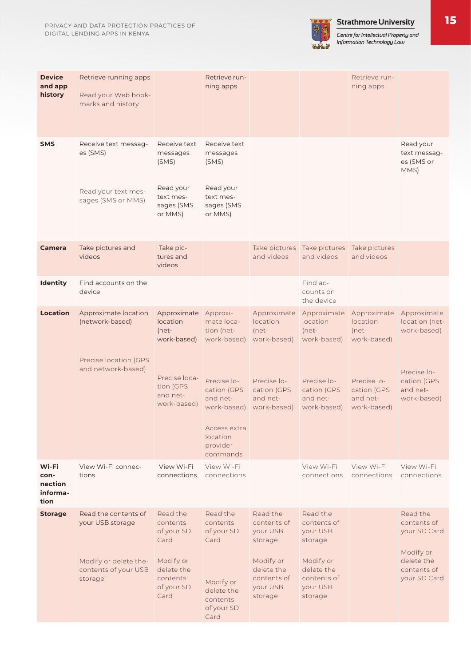

Centre for Intellectual Property and<br>Information Technology Law

| <b>Device</b><br>and app<br>history          | Retrieve running apps<br>Read your Web book-<br>marks and history                                    |                                                                                                                 | Retrieve run-<br>ning apps                                                                                                                                       |                                                                                                                 |                                                                                                                 | Retrieve run-<br>ning apps                                                                                 |                                                                                                       |
|----------------------------------------------|------------------------------------------------------------------------------------------------------|-----------------------------------------------------------------------------------------------------------------|------------------------------------------------------------------------------------------------------------------------------------------------------------------|-----------------------------------------------------------------------------------------------------------------|-----------------------------------------------------------------------------------------------------------------|------------------------------------------------------------------------------------------------------------|-------------------------------------------------------------------------------------------------------|
| <b>SMS</b>                                   | Receive text messag-<br>es (SMS)<br>Read your text mes-<br>sages (SMS or MMS)                        | Receive text<br>messages<br>(SMS)<br>Read your<br>text mes-<br>sages (SMS<br>or MMS)                            | Receive text<br>messages<br>(SMS)<br>Read your<br>text mes-<br>sages (SMS<br>or MMS)                                                                             |                                                                                                                 |                                                                                                                 |                                                                                                            | Read your<br>text messag-<br>es (SMS or<br>MMS)                                                       |
| <b>Camera</b>                                | Take pictures and<br>videos                                                                          | Take pic-<br>tures and<br>videos                                                                                |                                                                                                                                                                  | and videos                                                                                                      | Take pictures Take pictures Take pictures<br>and videos                                                         | and videos                                                                                                 |                                                                                                       |
| <b>Identity</b>                              | Find accounts on the<br>device                                                                       |                                                                                                                 |                                                                                                                                                                  |                                                                                                                 | Find ac-<br>counts on<br>the device                                                                             |                                                                                                            |                                                                                                       |
| <b>Location</b>                              | Approximate location<br>(network-based)<br>Precise location (GPS<br>and network-based)               | Approximate<br><b>location</b><br>(net-<br>work-based)<br>Precise loca-<br>tion (GPS<br>and net-<br>work-based) | Approxi-<br>mate loca-<br>tion (net-<br>work-based)<br>Precise lo-<br>cation (GPS<br>and net-<br>work-based)<br>Access extra<br>location<br>provider<br>commands | Approximate<br>location<br>(net-<br>work-based)<br>Precise lo-<br>cation (GPS<br>and net-<br>work-based)        | Approximate<br>location<br>$(net-$<br>work-based)<br>Precise lo-<br>cation (GPS<br>and net-<br>work-based)      | Approximate<br>location<br>$(net-$<br>work-based)<br>Precise lo-<br>cation (GPS<br>and net-<br>work-based) | Approximate<br>location (net-<br>work-based)<br>Precise lo-<br>cation (GPS<br>and net-<br>work-based) |
| Wi-Fi<br>con-<br>nection<br>informa-<br>tion | View Wi-Fi connec-<br>tions                                                                          | View Wi-Fi<br>connections                                                                                       | View Wi-Fi<br>connections                                                                                                                                        |                                                                                                                 | View Wi-Fi<br>connections                                                                                       | View Wi-Fi<br>connections                                                                                  | View Wi-Fi<br>connections                                                                             |
| <b>Storage</b>                               | Read the contents of<br>your USB storage<br>Modify or delete the-<br>contents of your USB<br>storage | Read the<br>contents<br>of your SD<br>Card<br>Modify or<br>delete the<br>contents<br>of your SD<br>Card         | Read the<br>contents<br>of your SD<br>Card<br>Modify or<br>delete the<br>contents<br>of your SD<br>Card                                                          | Read the<br>contents of<br>your USB<br>storage<br>Modify or<br>delete the<br>contents of<br>your USB<br>storage | Read the<br>contents of<br>your USB<br>storage<br>Modify or<br>delete the<br>contents of<br>your USB<br>storage |                                                                                                            | Read the<br>contents of<br>your SD Card<br>Modify or<br>delete the<br>contents of<br>your SD Card     |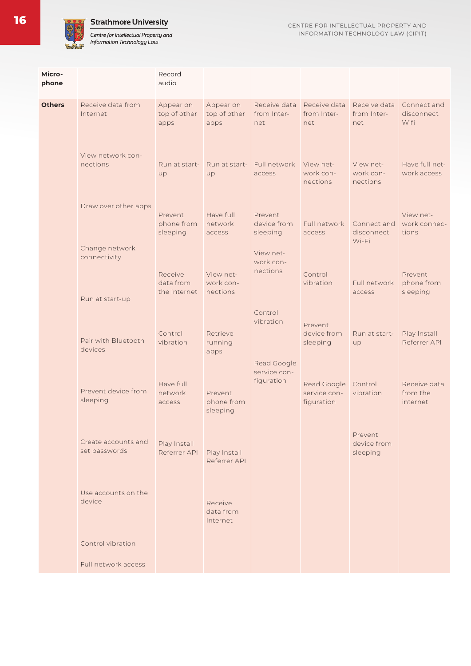#### **Strathmore University**

Centre for Intellectual Property and<br>Information Technology Law

| Micro-<br>phone |                                                   | Record<br>audio                      |                                    |                                           |                                           |                                    |                                      |
|-----------------|---------------------------------------------------|--------------------------------------|------------------------------------|-------------------------------------------|-------------------------------------------|------------------------------------|--------------------------------------|
| <b>Others</b>   | Receive data from<br>Internet                     | Appear on<br>top of other<br>apps    | Appear on<br>top of other<br>apps  | Receive data<br>from Inter-<br>net        | Receive data<br>from Inter-<br>net        | Receive data<br>from Inter-<br>net | Connect and<br>disconnect<br>Wifi    |
|                 | View network con-<br>nections                     | Run at start-<br>up                  | Run at start-<br>up                | Full network<br>access                    | View net-<br>work con-<br>nections        | View net-<br>work con-<br>nections | Have full net-<br>work access        |
|                 | Draw over other apps                              | Prevent<br>phone from<br>sleeping    | Have full<br>network<br>access     | Prevent<br>device from<br>sleeping        | Full network<br>access                    | Connect and<br>disconnect<br>Wi-Fi | View net-<br>work connec-<br>tions   |
|                 | Change network<br>connectivity<br>Run at start-up | Receive<br>data from<br>the internet | View net-<br>work con-<br>nections | View net-<br>work con-<br>nections        | Control<br>vibration                      | Full network<br>access             | Prevent<br>phone from<br>sleeping    |
|                 | Pair with Bluetooth<br>devices                    | Control<br>vibration                 | Retrieve<br>running<br>apps        | Control<br>vibration                      | Prevent<br>device from<br>sleeping        | Run at start-<br>up                | Play Install<br>Referrer API         |
|                 | Prevent device from<br>sleeping                   | Have full<br>network<br>access       | Prevent<br>phone from<br>sleeping  | Read Google<br>service con-<br>figuration | Read Google<br>service con-<br>figuration | Control<br>vibration               | Receive data<br>from the<br>internet |
|                 | Create accounts and<br>set passwords              | Play Install<br>Referrer API         | Play Install<br>Referrer API       |                                           |                                           | Prevent<br>device from<br>sleeping |                                      |
|                 | Use accounts on the<br>device                     |                                      | Receive<br>data from<br>Internet   |                                           |                                           |                                    |                                      |
|                 | Control vibration                                 |                                      |                                    |                                           |                                           |                                    |                                      |
|                 | Full network access                               |                                      |                                    |                                           |                                           |                                    |                                      |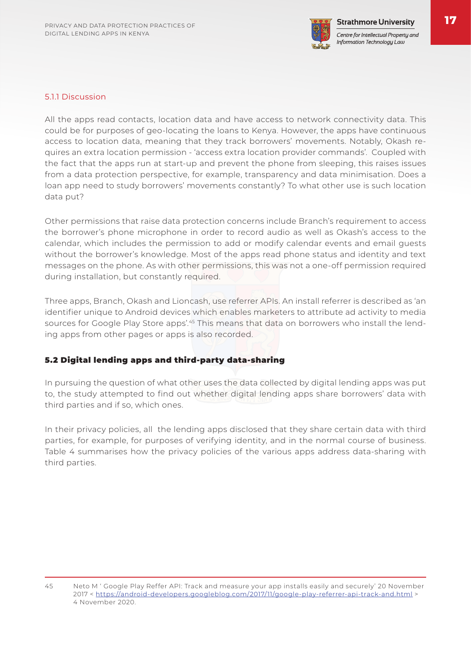

#### 5.1.1 Discussion

All the apps read contacts, location data and have access to network connectivity data. This could be for purposes of geo-locating the loans to Kenya. However, the apps have continuous access to location data, meaning that they track borrowers' movements. Notably, Okash requires an extra location permission - 'access extra location provider commands'. Coupled with the fact that the apps run at start-up and prevent the phone from sleeping, this raises issues from a data protection perspective, for example, transparency and data minimisation. Does a loan app need to study borrowers' movements constantly? To what other use is such location data put?

Other permissions that raise data protection concerns include Branch's requirement to access the borrower's phone microphone in order to record audio as well as Okash's access to the calendar, which includes the permission to add or modify calendar events and email guests without the borrower's knowledge. Most of the apps read phone status and identity and text messages on the phone. As with other permissions, this was not a one-off permission required during installation, but constantly required.

Three apps, Branch, Okash and Lioncash, use referrer APIs. An install referrer is described as 'an identifier unique to Android devices which enables marketers to attribute ad activity to media sources for Google Play Store apps'.<sup>45</sup> This means that data on borrowers who install the lending apps from other pages or apps is also recorded.

#### 5.2 Digital lending apps and third-party data-sharing

In pursuing the question of what other uses the data collected by digital lending apps was put to, the study attempted to find out whether digital lending apps share borrowers' data with third parties and if so, which ones.

In their privacy policies, all the lending apps disclosed that they share certain data with third parties, for example, for purposes of verifying identity, and in the normal course of business. Table 4 summarises how the privacy policies of the various apps address data-sharing with third parties.

<sup>45</sup> Neto M ' Google Play Reffer API: Track and measure your app installs easily and securely' 20 November 2017 < https://android-developers.googleblog.com/2017/11/google-play-referrer-api-track-and.html > 4 November 2020.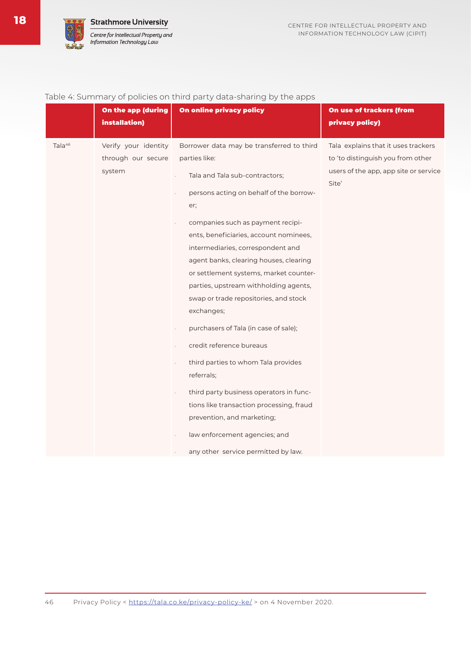

| Table 4: Summary of policies on third party data-sharing by the apps |  |  |  |
|----------------------------------------------------------------------|--|--|--|

|                    | On the app (during<br>installation)                  | On online privacy policy                                                                                                                                                                                                                                                                                                                                                                                                                                                                                                                                                                                                                                                                                                                                                                                            | On use of trackers (from<br>privacy policy)                                                                                |
|--------------------|------------------------------------------------------|---------------------------------------------------------------------------------------------------------------------------------------------------------------------------------------------------------------------------------------------------------------------------------------------------------------------------------------------------------------------------------------------------------------------------------------------------------------------------------------------------------------------------------------------------------------------------------------------------------------------------------------------------------------------------------------------------------------------------------------------------------------------------------------------------------------------|----------------------------------------------------------------------------------------------------------------------------|
| Tala <sup>46</sup> | Verify your identity<br>through our secure<br>system | Borrower data may be transferred to third<br>parties like:<br>Tala and Tala sub-contractors;<br>$\epsilon$<br>persons acting on behalf of the borrow-<br>er;<br>companies such as payment recipi-<br>ents, beneficiaries, account nominees,<br>intermediaries, correspondent and<br>agent banks, clearing houses, clearing<br>or settlement systems, market counter-<br>parties, upstream withholding agents,<br>swap or trade repositories, and stock<br>exchanges;<br>purchasers of Tala (in case of sale);<br>÷.<br>credit reference bureaus<br>÷,<br>third parties to whom Tala provides<br>÷,<br>referrals;<br>third party business operators in func-<br>÷.<br>tions like transaction processing, fraud<br>prevention, and marketing;<br>law enforcement agencies; and<br>any other service permitted by law. | Tala explains that it uses trackers<br>to 'to distinguish you from other<br>users of the app, app site or service<br>Site' |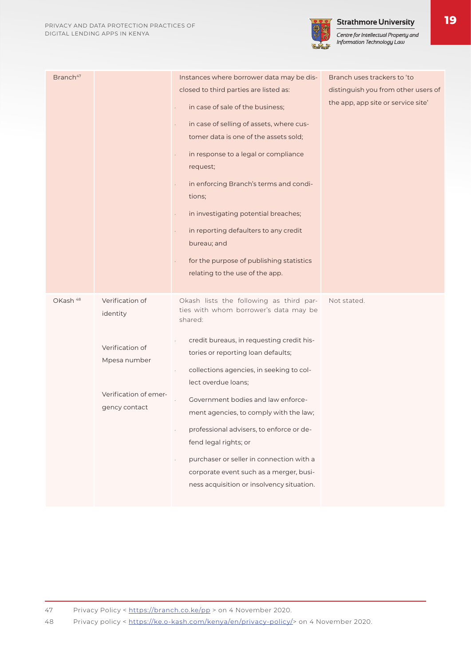

| Branch <sup>47</sup> |                                                                                                          | Instances where borrower data may be dis-<br>closed to third parties are listed as:<br>in case of sale of the business;<br>$\epsilon$<br>in case of selling of assets, where cus-<br>$\epsilon$<br>tomer data is one of the assets sold;<br>in response to a legal or compliance<br>request;<br>in enforcing Branch's terms and condi-<br>$\epsilon$<br>tions;<br>in investigating potential breaches;<br>$\epsilon$<br>in reporting defaulters to any credit<br>$\epsilon$<br>bureau; and<br>for the purpose of publishing statistics<br>relating to the use of the app. | Branch uses trackers to 'to<br>distinguish you from other users of<br>the app, app site or service site' |
|----------------------|----------------------------------------------------------------------------------------------------------|---------------------------------------------------------------------------------------------------------------------------------------------------------------------------------------------------------------------------------------------------------------------------------------------------------------------------------------------------------------------------------------------------------------------------------------------------------------------------------------------------------------------------------------------------------------------------|----------------------------------------------------------------------------------------------------------|
| OKash <sup>48</sup>  | Verification of<br>identity<br>Verification of<br>Mpesa number<br>Verification of emer-<br>gency contact | Okash lists the following as third par-<br>ties with whom borrower's data may be<br>shared:<br>credit bureaus, in requesting credit his-<br>tories or reporting loan defaults;<br>collections agencies, in seeking to col-<br>lect overdue loans;<br>Government bodies and law enforce-<br>ment agencies, to comply with the law;<br>professional advisers, to enforce or de-<br>$\epsilon$<br>fend legal rights; or<br>purchaser or seller in connection with a<br>corporate event such as a merger, busi-<br>ness acquisition or insolvency situation.                  | Not stated.                                                                                              |

48 Privacy policy < https://ke.o-kash.com/kenya/en/privacy-policy/> on 4 November 2020.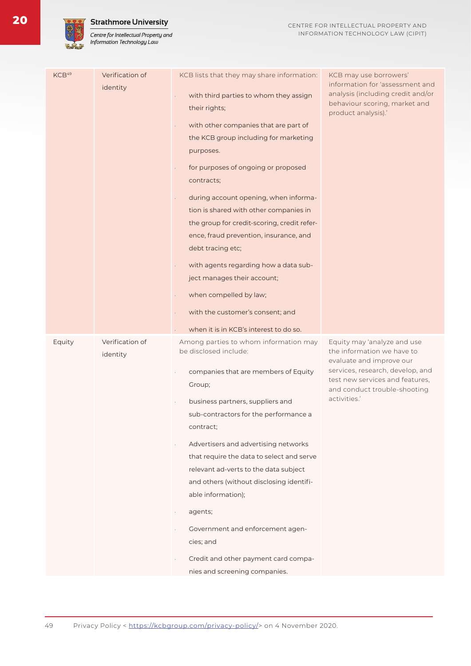#### **Strathmore University**

Centre for Intellectual Property and<br>Information Technology Law

| KCB <sup>49</sup> | Verification of | KCB lists that they may share information:                                                                                                                                                                                                                                                                                                                                                                                                                                                                                                                                                                                                               | KCB may use borrowers'                                                                                                                                                                                       |
|-------------------|-----------------|----------------------------------------------------------------------------------------------------------------------------------------------------------------------------------------------------------------------------------------------------------------------------------------------------------------------------------------------------------------------------------------------------------------------------------------------------------------------------------------------------------------------------------------------------------------------------------------------------------------------------------------------------------|--------------------------------------------------------------------------------------------------------------------------------------------------------------------------------------------------------------|
|                   | identity        | with third parties to whom they assign<br>÷,<br>their rights;<br>with other companies that are part of<br>$\Box$<br>the KCB group including for marketing<br>purposes.<br>for purposes of ongoing or proposed<br>contracts;<br>during account opening, when informa-<br>$\epsilon$<br>tion is shared with other companies in<br>the group for credit-scoring, credit refer-<br>ence, fraud prevention, insurance, and<br>debt tracing etc;<br>with agents regarding how a data sub-<br>$\Box$<br>ject manages their account;<br>when compelled by law;<br>$\epsilon$<br>with the customer's consent; and<br>÷.<br>when it is in KCB's interest to do so. | information for 'assessment and<br>analysis (including credit and/or<br>behaviour scoring, market and<br>product analysis).'                                                                                 |
|                   | Verification of |                                                                                                                                                                                                                                                                                                                                                                                                                                                                                                                                                                                                                                                          |                                                                                                                                                                                                              |
| Equity            | identity        | Among parties to whom information may<br>be disclosed include:<br>companies that are members of Equity<br>Group;<br>business partners, suppliers and<br>sub-contractors for the performance a<br>contract;<br>Advertisers and advertising networks<br>that require the data to select and serve<br>relevant ad-verts to the data subject<br>and others (without disclosing identifi-<br>able information);<br>agents;<br>٠<br>Government and enforcement agen-<br>cies; and<br>Credit and other payment card compa-<br>nies and screening companies.                                                                                                     | Equity may 'analyze and use<br>the information we have to<br>evaluate and improve our<br>services, research, develop, and<br>test new services and features,<br>and conduct trouble-shooting<br>activities.' |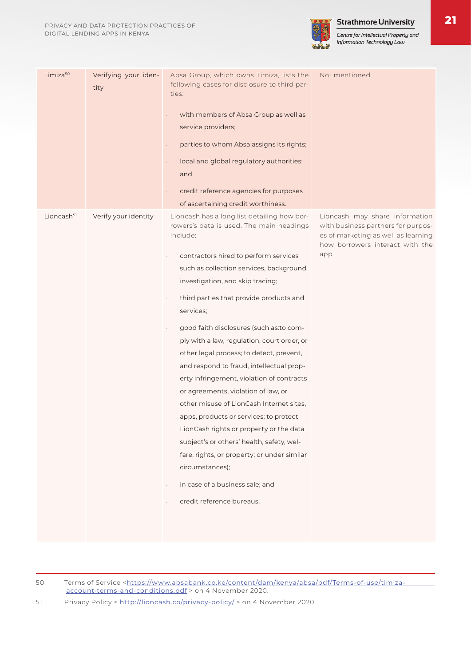

Centre for Intellectual Property and Information Technology Law

| Timiza <sup>50</sup>   | Verifying your iden-<br>tity | Absa Group, which owns Timiza, lists the<br>following cases for disclosure to third par-<br>ties:<br>with members of Absa Group as well as<br>service providers;<br>parties to whom Absa assigns its rights;<br>local and global regulatory authorities;<br>and<br>credit reference agencies for purposes<br>of ascertaining credit worthiness.                                                                                                                                                                                                                                                                                                                                                                                                                                                                                                                            | Not mentioned.                                                                                                                                         |
|------------------------|------------------------------|----------------------------------------------------------------------------------------------------------------------------------------------------------------------------------------------------------------------------------------------------------------------------------------------------------------------------------------------------------------------------------------------------------------------------------------------------------------------------------------------------------------------------------------------------------------------------------------------------------------------------------------------------------------------------------------------------------------------------------------------------------------------------------------------------------------------------------------------------------------------------|--------------------------------------------------------------------------------------------------------------------------------------------------------|
| Lioncash <sup>51</sup> | Verify your identity         | Lioncash has a long list detailing how bor-<br>rowers's data is used. The main headings<br>include:<br>contractors hired to perform services<br>such as collection services, background<br>investigation, and skip tracing;<br>third parties that provide products and<br>services;<br>good faith disclosures (such as: to com-<br>ply with a law, regulation, court order, or<br>other legal process; to detect, prevent,<br>and respond to fraud, intellectual prop-<br>erty infringement, violation of contracts<br>or agreements, violation of law, or<br>other misuse of LionCash Internet sites,<br>apps, products or services; to protect<br>LionCash rights or property or the data<br>subject's or others' health, safety, wel-<br>fare, rights, or property; or under similar<br>circumstances);<br>in case of a business sale; and<br>credit reference bureaus. | Lioncash may share information<br>with business partners for purpos-<br>es of marketing as well as learning<br>how borrowers interact with the<br>app. |

50 Terms of Service <https://www.absabank.co.ke/content/dam/kenya/absa/pdf/Terms-of-use/timizaaccount-terms-and-conditions.pdf > on 4 November 2020.

51 Privacy Policy < http://lioncash.co/privacy-policy/ > on 4 November 2020.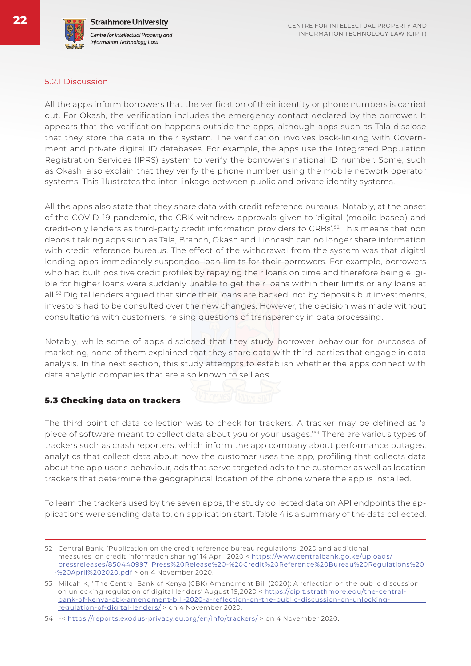#### 5.2.1 Discussion

All the apps inform borrowers that the verification of their identity or phone numbers is carried out. For Okash, the verification includes the emergency contact declared by the borrower. It appears that the verification happens outside the apps, although apps such as Tala disclose that they store the data in their system. The verification involves back-linking with Government and private digital ID databases. For example, the apps use the Integrated Population Registration Services (IPRS) system to verify the borrower's national ID number. Some, such as Okash, also explain that they verify the phone number using the mobile network operator systems. This illustrates the inter-linkage between public and private identity systems.

All the apps also state that they share data with credit reference bureaus. Notably, at the onset of the COVID-19 pandemic, the CBK withdrew approvals given to 'digital (mobile-based) and credit-only lenders as third-party credit information providers to CRBs'.52 This means that non deposit taking apps such as Tala, Branch, Okash and Lioncash can no longer share information with credit reference bureaus. The effect of the withdrawal from the system was that digital lending apps immediately suspended loan limits for their borrowers. For example, borrowers who had built positive credit profiles by repaying their loans on time and therefore being eligible for higher loans were suddenly unable to get their loans within their limits or any loans at all.<sup>53</sup> Digital lenders argued that since their loans are backed, not by deposits but investments, investors had to be consulted over the new changes. However, the decision was made without consultations with customers, raising questions of transparency in data processing.

Notably, while some of apps disclosed that they study borrower behaviour for purposes of marketing, none of them explained that they share data with third-parties that engage in data analysis. In the next section, this study attempts to establish whether the apps connect with data analytic companies that are also known to sell ads.

#### 5.3 Checking data on trackers

The third point of data collection was to check for trackers. A tracker may be defined as 'a piece of software meant to collect data about you or your usages.<sup>'54</sup> There are various types of trackers such as crash reporters, which inform the app company about performance outages, analytics that collect data about how the customer uses the app, profiling that collects data about the app user's behaviour, ads that serve targeted ads to the customer as well as location trackers that determine the geographical location of the phone where the app is installed.

To learn the trackers used by the seven apps, the study collected data on API endpoints the applications were sending data to, on application start. Table 4 is a summary of the data collected.

<sup>52</sup> Central Bank, 'Publication on the credit reference bureau regulations, 2020 and additional measures on credit information sharing' 14 April 2020 < https://www.centralbank.go.ke/uploads/ pressreleases/850440997\_Press%20Release%20-%20Credit%20Reference%20Bureau%20Regulations%20 -%20April%202020.pdf > on 4 November 2020.

<sup>53</sup> Milcah K, ' The Central Bank of Kenya (CBK) Amendment Bill (2020): A reflection on the public discussion on unlocking regulation of digital lenders' August 19,2020 < https://cipit.strathmore.edu/the-central bank-of-kenya-cbk-amendment-bill-2020-a-reflection-on-the-public-discussion-on-unlocking regulation-of-digital-lenders/ > on 4 November 2020.

<sup>54 -&</sup>lt; https://reports.exodus-privacy.eu.org/en/info/trackers/ > on 4 November 2020.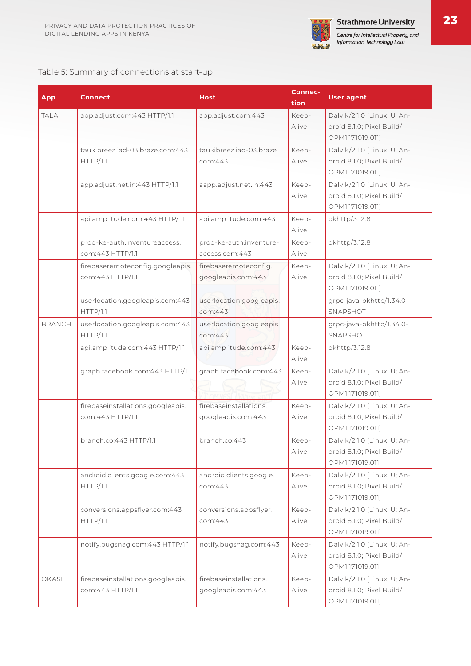

#### Table 5: Summary of connections at start-up

| <b>App</b>    | <b>Connect</b>                                        | <b>Host</b>                                  | <b>Connec-</b><br>tion | <b>User agent</b>                                                            |
|---------------|-------------------------------------------------------|----------------------------------------------|------------------------|------------------------------------------------------------------------------|
| <b>TALA</b>   | app.adjust.com:443 HTTP/1.1                           | app.adjust.com:443                           | Keep-<br>Alive         | Dalvik/2.1.0 (Linux; U; An-<br>droid 8.1.0; Pixel Build/<br>OPM1.171019.011) |
|               | taukibreez.jad-03.braze.com:443<br>HTTP/1.1           | taukibreez.jad-03.braze.<br>com:443          | Keep-<br>Alive         | Dalvik/2.1.0 (Linux; U; An-<br>droid 8.1.0; Pixel Build/<br>OPM1.171019.011) |
|               | app.adjust.net.in:443 HTTP/1.1                        | aapp.adjust.net.in:443                       | Keep-<br>Alive         | Dalvik/2.1.0 (Linux; U; An-<br>droid 8.1.0; Pixel Build/<br>OPM1.171019.011) |
|               | api.amplitude.com:443 HTTP/1.1                        | api.amplitude.com:443                        | Keep-<br>Alive         | okhttp/3.12.8                                                                |
|               | prod-ke-auth.inventureaccess.<br>com:443 HTTP/1.1     | prod-ke-auth.inventure-<br>access.com:443    | Keep-<br>Alive         | okhttp/3.12.8                                                                |
|               | firebaseremoteconfig.googleapis.<br>com: 443 HTTP/1.1 | firebaseremoteconfig.<br>googleapis.com:443  | Keep-<br>Alive         | Dalvik/2.1.0 (Linux; U; An-<br>droid 8.1.0; Pixel Build/<br>OPM1.171019.011) |
|               | userlocation.googleapis.com:443<br>HTTP/1.1           | userlocation.googleapis.<br>com:443          |                        | grpc-java-okhttp/1.34.0-<br>SNAPSHOT                                         |
| <b>BRANCH</b> | userlocation.googleapis.com:443<br>HTTP/1.1           | userlocation.googleapis.<br>com:443          |                        | grpc-java-okhttp/1.34.0-<br>SNAPSHOT                                         |
|               | api.amplitude.com:443 HTTP/1.1                        | api.amplitude.com:443                        | Keep-<br>Alive         | okhttp/3.12.8                                                                |
|               | graph.facebook.com:443 HTTP/1.1                       | graph.facebook.com:443                       | Keep-<br>Alive         | Dalvik/2.1.0 (Linux; U; An-<br>droid 8.1.0; Pixel Build/<br>OPM1.171019.011) |
|               | firebaseinstallations.googleapis.<br>com:443 HTTP/1.1 | firebaseinstallations.<br>googleapis.com:443 | Keep-<br>Alive         | Dalvik/2.1.0 (Linux; U; An-<br>droid 8.1.0; Pixel Build/<br>OPM1.171019.011) |
|               | branch.co:443 HTTP/1.1                                | branch.co: 443                               | Keep-<br>Alive         | Dalvik/2.1.0 (Linux; U; An-<br>droid 8.1.0; Pixel Build/<br>OPM1.171019.011) |
|               | android.clients.google.com:443<br>HTTP/1.1            | android.clients.google.<br>com:443           | Keep-<br>Alive         | Dalvik/2.1.0 (Linux; U; An-<br>droid 8.1.0; Pixel Build/<br>OPM1.171019.011) |
|               | conversions.appsflyer.com:443<br>HTTP/1.1             | conversions.appsflyer.<br>com:443            | Keep-<br>Alive         | Dalvik/2.1.0 (Linux; U; An-<br>droid 8.1.0; Pixel Build/<br>OPM1.171019.011) |
|               | notify.bugsnag.com:443 HTTP/1.1                       | notify.bugsnag.com:443                       | Keep-<br>Alive         | Dalvik/2.1.0 (Linux; U; An-<br>droid 8.1.0; Pixel Build/<br>OPM1.171019.011) |
| OKASH         | firebaseinstallations.googleapis.<br>com:443 HTTP/1.1 | firebaseinstallations.<br>googleapis.com:443 | Keep-<br>Alive         | Dalvik/2.1.0 (Linux; U; An-<br>droid 8.1.0; Pixel Build/<br>OPM1.171019.011) |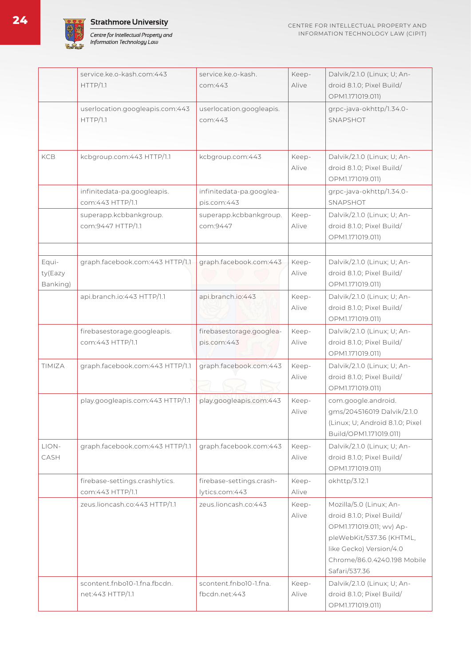



|                              | service.ke.o-kash.com:443<br>HTTP/1.1              | service.ke.o-kash.<br>com:443              | Keep-<br>Alive | Dalvik/2.1.0 (Linux; U; An-<br>droid 8.1.0; Pixel Build/<br>OPM1.171019.011)                                                                                                            |
|------------------------------|----------------------------------------------------|--------------------------------------------|----------------|-----------------------------------------------------------------------------------------------------------------------------------------------------------------------------------------|
|                              | userlocation.googleapis.com:443<br>HTTP/1.1        | userlocation.googleapis.<br>com:443        |                | grpc-java-okhttp/1.34.0-<br>SNAPSHOT                                                                                                                                                    |
| <b>KCB</b>                   | kcbgroup.com:443 HTTP/1.1                          | kcbgroup.com:443                           | Keep-<br>Alive | Dalvik/2.1.0 (Linux; U; An-<br>droid 8.1.0; Pixel Build/<br>OPM1.171019.011)                                                                                                            |
|                              | infinitedata-pa.googleapis.<br>com:443 HTTP/1.1    | infinitedata-pa.googlea-<br>pis.com:443    |                | grpc-java-okhttp/1.34.0-<br>SNAPSHOT                                                                                                                                                    |
|                              | superapp.kcbbankgroup.<br>com:9447 HTTP/1.1        | superapp.kcbbankgroup.<br>com:9447         | Keep-<br>Alive | Dalvik/2.1.0 (Linux; U; An-<br>droid 8.1.0; Pixel Build/<br>OPM1.171019.011)                                                                                                            |
| Equi-<br>ty(Eazy<br>Banking) | graph.facebook.com:443 HTTP/1.1                    | graph.facebook.com:443                     | Keep-<br>Alive | Dalvik/2.1.0 (Linux; U; An-<br>droid 8.1.0; Pixel Build/<br>OPM1.171019.011)                                                                                                            |
|                              | api.branch.io:443 HTTP/1.1                         | api.branch.io:443                          | Keep-<br>Alive | Dalvik/2.1.0 (Linux; U; An-<br>droid 8.1.0; Pixel Build/<br>OPM1.171019.011)                                                                                                            |
|                              | firebasestorage.googleapis.<br>com:443 HTTP/1.1    | firebasestorage.googlea-<br>pis.com:443    | Keep-<br>Alive | Dalvik/2.1.0 (Linux; U; An-<br>droid 8.1.0; Pixel Build/<br>OPM1.171019.011)                                                                                                            |
| TIMIZA                       | graph.facebook.com:443 HTTP/1.1                    | graph.facebook.com:443                     | Keep-<br>Alive | Dalvik/2.1.0 (Linux; U; An-<br>droid 8.1.0; Pixel Build/<br>OPM1.171019.011)                                                                                                            |
|                              | play.googleapis.com:443 HTTP/1.1                   | play.googleapis.com:443                    | Keep-<br>Alive | com.google.android.<br>gms/204516019 Dalvik/2.1.0<br>(Linux; U; Android 8.1.0; Pixel<br>Build/OPM1.171019.011)                                                                          |
| LION-<br>CASH                | graph.facebook.com:443 HTTP/1.1                    | graph.facebook.com:443                     | Keep-<br>Alive | Dalvik/2.1.0 (Linux; U; An-<br>droid 8.1.0; Pixel Build/<br>OPM1.171019.011)                                                                                                            |
|                              | firebase-settings.crashlytics.<br>com:443 HTTP/1.1 | firebase-settings.crash-<br>lytics.com:443 | Keep-<br>Alive | okhttp/3.12.1                                                                                                                                                                           |
|                              | zeus.lioncash.co:443 HTTP/1.1                      | zeus lioncash.co:443                       | Keep-<br>Alive | Mozilla/5.0 (Linux; An-<br>droid 8.1.0; Pixel Build/<br>OPM1.171019.011; wv) Ap-<br>pleWebKit/537.36 (KHTML,<br>like Gecko) Version/4.0<br>Chrome/86.0.4240.198 Mobile<br>Safari/537.36 |
|                              | scontent.fnbol0-1.fna.fbcdn.<br>net:443 HTTP/1.1   | scontent.fnbo10-1.fna.<br>fbcdn.net:443    | Keep-<br>Alive | Dalvik/2.1.0 (Linux; U; An-<br>droid 8.1.0; Pixel Build/<br>OPM1.171019.011)                                                                                                            |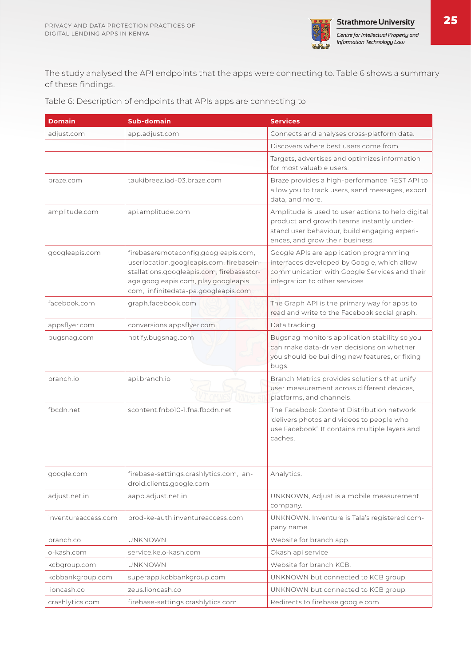

The study analysed the API endpoints that the apps were connecting to. Table 6 shows a summary of these findings.

| Table 6: Description of endpoints that APIs apps are connecting to |  |  |  |
|--------------------------------------------------------------------|--|--|--|
|--------------------------------------------------------------------|--|--|--|

| <b>Domain</b>       | <b>Sub-domain</b>                                                                                                                                                                                            | <b>Services</b>                                                                                                                                                                   |
|---------------------|--------------------------------------------------------------------------------------------------------------------------------------------------------------------------------------------------------------|-----------------------------------------------------------------------------------------------------------------------------------------------------------------------------------|
| adjust.com          | app.adjust.com                                                                                                                                                                                               | Connects and analyses cross-platform data.                                                                                                                                        |
|                     |                                                                                                                                                                                                              | Discovers where best users come from.                                                                                                                                             |
|                     |                                                                                                                                                                                                              | Targets, advertises and optimizes information<br>for most valuable users.                                                                                                         |
| braze.com           | taukibreez.iad-03.braze.com                                                                                                                                                                                  | Braze provides a high-performance REST API to<br>allow you to track users, send messages, export<br>data, and more.                                                               |
| amplitude.com       | api.amplitude.com                                                                                                                                                                                            | Amplitude is used to user actions to help digital<br>product and growth teams instantly under-<br>stand user behaviour, build engaging experi-<br>ences, and grow their business. |
| googleapis.com      | firebaseremoteconfig.googleapis.com,<br>userlocation.googleapis.com, firebasein-<br>stallations.googleapis.com, firebasestor-<br>age.googleapis.com, play.googleapis.<br>com, infinitedata-pa.googleapis.com | Google APIs are application programming<br>interfaces developed by Google, which allow<br>communication with Google Services and their<br>integration to other services.          |
| facebook.com        | graph.facebook.com                                                                                                                                                                                           | The Graph API is the primary way for apps to<br>read and write to the Facebook social graph.                                                                                      |
| appsflyer.com       | conversions.appsflyer.com                                                                                                                                                                                    | Data tracking.                                                                                                                                                                    |
| bugsnag.com         | notify.bugsnag.com                                                                                                                                                                                           | Bugsnag monitors application stability so you<br>can make data-driven decisions on whether<br>you should be building new features, or fixing<br>bugs.                             |
| branch.io           | api.branch.io                                                                                                                                                                                                | Branch Metrics provides solutions that unify<br>user measurement across different devices,<br>platforms, and channels.                                                            |
| fbcdn.net           | scontent.fnbo10-1.fna.fbcdn.net                                                                                                                                                                              | The Facebook Content Distribution network<br>'delivers photos and videos to people who<br>use Facebook'. It contains multiple layers and<br>caches.                               |
| google.com          | firebase-settings.crashlytics.com, an-<br>droid.clients.google.com                                                                                                                                           | Analytics.                                                                                                                                                                        |
| adjust.net.in       | aapp.adjust.net.in                                                                                                                                                                                           | UNKNOWN, Adjust is a mobile measurement<br>company.                                                                                                                               |
| inventureaccess.com | prod-ke-auth.inventureaccess.com                                                                                                                                                                             | UNKNOWN. Inventure is Tala's registered com-<br>pany name.                                                                                                                        |
| branch.co           | <b>UNKNOWN</b>                                                                                                                                                                                               | Website for branch app.                                                                                                                                                           |
| o-kash.com          | service.ke.o-kash.com                                                                                                                                                                                        | Okash api service                                                                                                                                                                 |
| kcbgroup.com        | <b>UNKNOWN</b>                                                                                                                                                                                               | Website for branch KCB.                                                                                                                                                           |
| kcbbankgroup.com    | superapp.kcbbankgroup.com                                                                                                                                                                                    | UNKNOWN but connected to KCB group.                                                                                                                                               |
| lioncash.co         | zeus.lioncash.co                                                                                                                                                                                             | UNKNOWN but connected to KCB group.                                                                                                                                               |
| crashlytics.com     | firebase-settings.crashlytics.com                                                                                                                                                                            | Redirects to firebase.google.com                                                                                                                                                  |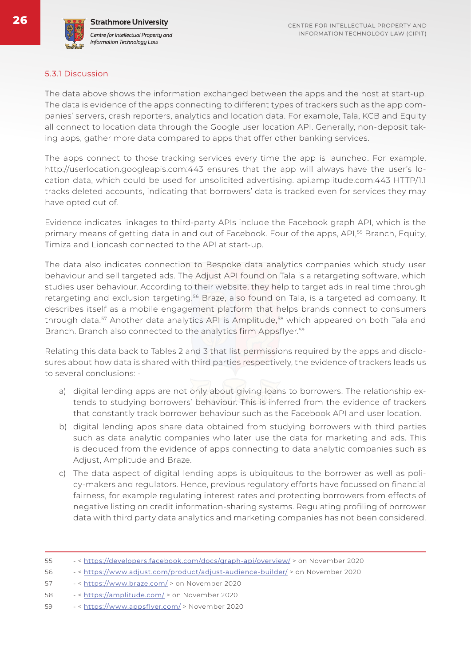

#### 5.3.1 Discussion

The data above shows the information exchanged between the apps and the host at start-up. The data is evidence of the apps connecting to different types of trackers such as the app companies' servers, crash reporters, analytics and location data. For example, Tala, KCB and Equity all connect to location data through the Google user location API. Generally, non-deposit taking apps, gather more data compared to apps that offer other banking services.

The apps connect to those tracking services every time the app is launched. For example, http://userlocation.googleapis.com:443 ensures that the app will always have the user's location data, which could be used for unsolicited advertising. api.amplitude.com:443 HTTP/1.1 tracks deleted accounts, indicating that borrowers' data is tracked even for services they may have opted out of.

Evidence indicates linkages to third-party APIs include the Facebook graph API, which is the primary means of getting data in and out of Facebook. Four of the apps, API,<sup>55</sup> Branch, Equity, Timiza and Lioncash connected to the API at start-up.

The data also indicates connection to Bespoke data analytics companies which study user behaviour and sell targeted ads. The Adjust API found on Tala is a retargeting software, which studies user behaviour. According to their website, they help to target ads in real time through retargeting and exclusion targeting.<sup>56</sup> Braze, also found on Tala, is a targeted ad company. It describes itself as a mobile engagement platform that helps brands connect to consumers through data.<sup>57</sup> Another data analytics API is Amplitude,<sup>58</sup> which appeared on both Tala and Branch. Branch also connected to the analytics firm Appsflyer.<sup>59</sup>

Relating this data back to Tables 2 and 3 that list permissions required by the apps and disclosures about how data is shared with third parties respectively, the evidence of trackers leads us to several conclusions: -

- a) digital lending apps are not only about giving loans to borrowers. The relationship extends to studying borrowers' behaviour. This is inferred from the evidence of trackers that constantly track borrower behaviour such as the Facebook API and user location.
- b) digital lending apps share data obtained from studying borrowers with third parties such as data analytic companies who later use the data for marketing and ads. This is deduced from the evidence of apps connecting to data analytic companies such as Adjust, Amplitude and Braze.
- c) The data aspect of digital lending apps is ubiquitous to the borrower as well as policy-makers and regulators. Hence, previous regulatory efforts have focussed on financial fairness, for example regulating interest rates and protecting borrowers from effects of negative listing on credit information-sharing systems. Regulating profiling of borrower data with third party data analytics and marketing companies has not been considered.

| 55 |  | - < https://developers.facebook.com/docs/graph-api/overview/ > on November 2020 |  |
|----|--|---------------------------------------------------------------------------------|--|
|    |  |                                                                                 |  |

- 56 < https://www.adjust.com/product/adjust-audience-builder/ > on November 2020
- 57 < https://www.braze.com/ > on November 2020
- 58 < https://amplitude.com/ > on November 2020
- 59 < https://www.appsflyer.com/ > November 2020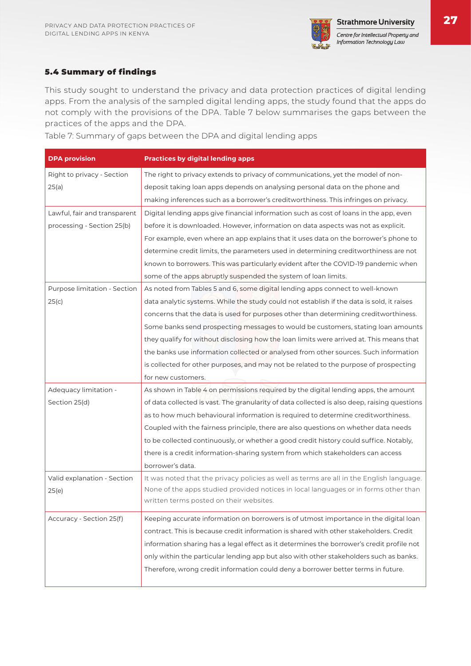

#### 5.4 Summary of findings

This study sought to understand the privacy and data protection practices of digital lending apps. From the analysis of the sampled digital lending apps, the study found that the apps do not comply with the provisions of the DPA. Table 7 below summarises the gaps between the practices of the apps and the DPA.

Table 7: Summary of gaps between the DPA and digital lending apps

| <b>DPA provision</b>         | <b>Practices by digital lending apps</b>                                                     |
|------------------------------|----------------------------------------------------------------------------------------------|
| Right to privacy - Section   | The right to privacy extends to privacy of communications, yet the model of non-             |
| 25(a)                        | deposit taking loan apps depends on analysing personal data on the phone and                 |
|                              | making inferences such as a borrower's creditworthiness. This infringes on privacy.          |
| Lawful, fair and transparent | Digital lending apps give financial information such as cost of loans in the app, even       |
| processing - Section 25(b)   | before it is downloaded. However, information on data aspects was not as explicit.           |
|                              | For example, even where an app explains that it uses data on the borrower's phone to         |
|                              | determine credit limits, the parameters used in determining creditworthiness are not         |
|                              | known to borrowers. This was particularly evident after the COVID-19 pandemic when           |
|                              | some of the apps abruptly suspended the system of loan limits.                               |
| Purpose limitation - Section | As noted from Tables 5 and 6, some digital lending apps connect to well-known                |
| 25(c)                        | data analytic systems. While the study could not establish if the data is sold, it raises    |
|                              | concerns that the data is used for purposes other than determining creditworthiness.         |
|                              | Some banks send prospecting messages to would be customers, stating loan amounts             |
|                              | they qualify for without disclosing how the loan limits were arrived at. This means that     |
|                              | the banks use information collected or analysed from other sources. Such information         |
|                              | is collected for other purposes, and may not be related to the purpose of prospecting        |
|                              | for new customers.                                                                           |
| Adequacy limitation -        | As shown in Table 4 on permissions required by the digital lending apps, the amount          |
| Section 25(d)                | of data collected is vast. The granularity of data collected is also deep, raising questions |
|                              | as to how much behavioural information is required to determine creditworthiness.            |
|                              | Coupled with the fairness principle, there are also questions on whether data needs          |
|                              | to be collected continuously, or whether a good credit history could suffice. Notably,       |
|                              | there is a credit information-sharing system from which stakeholders can access              |
|                              | borrower's data.                                                                             |
| Valid explanation - Section  | It was noted that the privacy policies as well as terms are all in the English language.     |
| 25(e)                        | None of the apps studied provided notices in local languages or in forms other than          |
|                              | written terms posted on their websites.                                                      |
| Accuracy - Section 25(f)     | Keeping accurate information on borrowers is of utmost importance in the digital loan        |
|                              | contract. This is because credit information is shared with other stakeholders. Credit       |
|                              | information sharing has a legal effect as it determines the borrower's credit profile not    |
|                              | only within the particular lending app but also with other stakeholders such as banks.       |
|                              | Therefore, wrong credit information could deny a borrower better terms in future.            |
|                              |                                                                                              |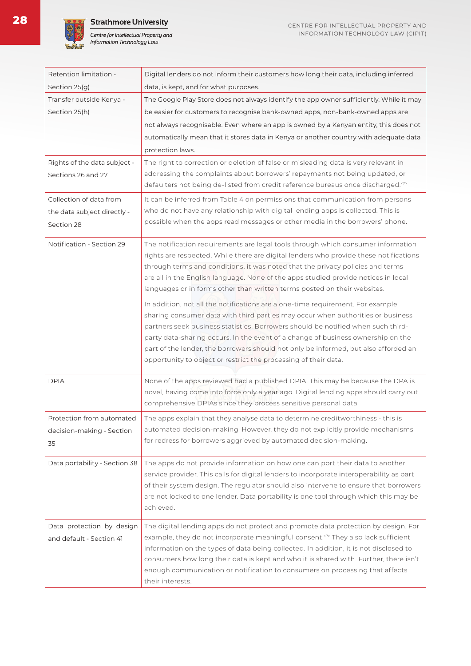

**28**

**Strathmore University** 



| Retention limitation -          | Digital lenders do not inform their customers how long their data, including inferred                                                                                                                                                                                                                                                                                                                                                                                                                |
|---------------------------------|------------------------------------------------------------------------------------------------------------------------------------------------------------------------------------------------------------------------------------------------------------------------------------------------------------------------------------------------------------------------------------------------------------------------------------------------------------------------------------------------------|
| Section 25(g)                   | data, is kept, and for what purposes.                                                                                                                                                                                                                                                                                                                                                                                                                                                                |
| Transfer outside Kenya -        | The Google Play Store does not always identify the app owner sufficiently. While it may                                                                                                                                                                                                                                                                                                                                                                                                              |
| Section 25(h)                   | be easier for customers to recognise bank-owned apps, non-bank-owned apps are                                                                                                                                                                                                                                                                                                                                                                                                                        |
|                                 | not always recognisable. Even where an app is owned by a Kenyan entity, this does not                                                                                                                                                                                                                                                                                                                                                                                                                |
|                                 | automatically mean that it stores data in Kenya or another country with adequate data                                                                                                                                                                                                                                                                                                                                                                                                                |
|                                 | protection laws.                                                                                                                                                                                                                                                                                                                                                                                                                                                                                     |
| Rights of the data subject -    | The right to correction or deletion of false or misleading data is very relevant in                                                                                                                                                                                                                                                                                                                                                                                                                  |
| Sections 26 and 27              | addressing the complaints about borrowers' repayments not being updated, or                                                                                                                                                                                                                                                                                                                                                                                                                          |
|                                 | defaulters not being de-listed from credit reference bureaus once discharged. <sup>27</sup>                                                                                                                                                                                                                                                                                                                                                                                                          |
| Collection of data from         | It can be inferred from Table 4 on permissions that communication from persons                                                                                                                                                                                                                                                                                                                                                                                                                       |
| the data subject directly -     | who do not have any relationship with digital lending apps is collected. This is                                                                                                                                                                                                                                                                                                                                                                                                                     |
| Section 28                      | possible when the apps read messages or other media in the borrowers' phone.                                                                                                                                                                                                                                                                                                                                                                                                                         |
| Notification - Section 29       | The notification requirements are legal tools through which consumer information<br>rights are respected. While there are digital lenders who provide these notifications<br>through terms and conditions, it was noted that the privacy policies and terms<br>are all in the English language. None of the apps studied provide notices in local                                                                                                                                                    |
|                                 | languages or in forms other than written terms posted on their websites.                                                                                                                                                                                                                                                                                                                                                                                                                             |
|                                 | In addition, not all the notifications are a one-time requirement. For example,<br>sharing consumer data with third parties may occur when authorities or business<br>partners seek business statistics. Borrowers should be notified when such third-<br>party data-sharing occurs. In the event of a change of business ownership on the<br>part of the lender, the borrowers should not only be informed, but also afforded an<br>opportunity to object or restrict the processing of their data. |
| <b>DPIA</b>                     | None of the apps reviewed had a published DPIA. This may be because the DPA is<br>novel, having come into force only a year ago. Digital lending apps should carry out<br>comprehensive DPIAs since they process sensitive personal data.                                                                                                                                                                                                                                                            |
| Protection from automated       | The apps explain that they analyse data to determine creditworthiness - this is                                                                                                                                                                                                                                                                                                                                                                                                                      |
| decision-making - Section<br>35 | automated decision-making. However, they do not explicitly provide mechanisms<br>for redress for borrowers aggrieved by automated decision-making.                                                                                                                                                                                                                                                                                                                                                   |
| Data portability - Section 38   | The apps do not provide information on how one can port their data to another<br>This colle for digital landare to incorpo                                                                                                                                                                                                                                                                                                                                                                           |

service provider. This calls for digital lenders to incorporate interoperability as part of their system design. The regulator should also intervene to ensure that borrowers are not locked to one lender. Data portability is one tool through which this may be achieved. Data protection by design and default - Section 41 The digital lending apps do not protect and promote data protection by design. For example, they do not incorporate meaningful consent.<?> They also lack sufficient

their interests.

information on the types of data being collected. In addition, it is not disclosed to consumers how long their data is kept and who it is shared with. Further, there isn't enough communication or notification to consumers on processing that affects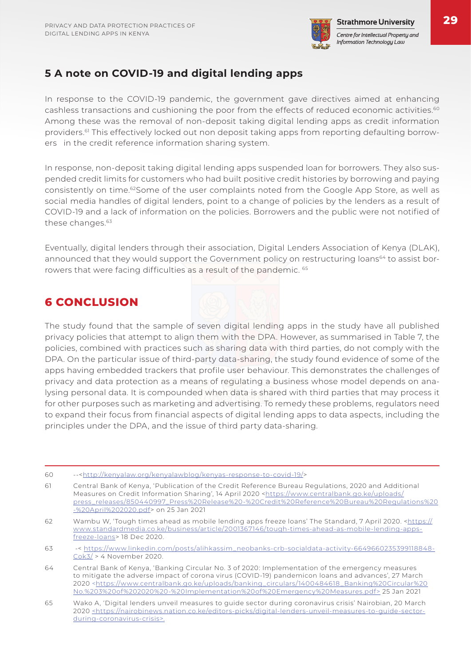

### **5 A note on COVID-19 and digital lending apps**

In response to the COVID-19 pandemic, the government gave directives aimed at enhancing cashless transactions and cushioning the poor from the effects of reduced economic activities.<sup>60</sup> Among these was the removal of non-deposit taking digital lending apps as credit information providers.<sup>61</sup> This effectively locked out non deposit taking apps from reporting defaulting borrowers in the credit reference information sharing system.

In response, non-deposit taking digital lending apps suspended loan for borrowers. They also suspended credit limits for customers who had built positive credit histories by borrowing and paying consistently on time.<sup>62</sup>Some of the user complaints noted from the Google App Store, as well as social media handles of digital lenders, point to a change of policies by the lenders as a result of COVID-19 and a lack of information on the policies. Borrowers and the public were not notified of these changes.<sup>63</sup>

Eventually, digital lenders through their association, Digital Lenders Association of Kenya (DLAK), announced that they would support the Government policy on restructuring loans<sup>64</sup> to assist borrowers that were facing difficulties as a result of the pandemic. 65

### **6 CONCLUSION**

The study found that the sample of seven digital lending apps in the study have all published privacy policies that attempt to align them with the DPA. However, as summarised in Table 7, the policies, combined with practices such as sharing data with third parties, do not comply with the DPA. On the particular issue of third-party data-sharing, the study found evidence of some of the apps having embedded trackers that profile user behaviour. This demonstrates the challenges of privacy and data protection as a means of regulating a business whose model depends on analysing personal data. It is compounded when data is shared with third parties that may process it for other purposes such as marketing and advertising. To remedy these problems, regulators need to expand their focus from financial aspects of digital lending apps to data aspects, including the principles under the DPA, and the issue of third party data-sharing.

- 60 --<http://kenyalaw.org/kenyalawblog/kenyas-response-to-covid-19/>
- 61 Central Bank of Kenya, 'Publication of the Credit Reference Bureau Regulations, 2020 and Additional Measures on Credit Information Sharing', 14 April 2020 <https://www.centralbank.go.ke/uploads/ press\_releases/850440997\_Press%20Release%20-%20Credit%20Reference%20Bureau%20Regulations%20 -%20April%202020.pdf> on 25 Jan 2021
- 62 Wambu W, 'Tough times ahead as mobile lending apps freeze loans' The Standard, 7 April 2020. <https:// www.standardmedia.co.ke/business/article/2001367146/tough-times-ahead-as-mobile-lending-appsfreeze-loans> 18 Dec 2020.
- 63 -< https://www.linkedin.com/posts/alihkassim\_neobanks-crb-socialdata-activity-6649660235399118848- Cok3/ > 4 November 2020.
- 64 Central Bank of Kenya, 'Banking Circular No. 3 of 2020: Implementation of the emergency measures to mitigate the adverse impact of corona virus (COVID-19) pandemicon loans and advances', 27 March 2020 <https://www.centralbank.go.ke/uploads/banking\_circulars/1400484618\_Banking%20Circular%20 No.%203%20of%202020%20-%20Implementation%20of%20Emergency%20Measures.pdf> 25 Jan 2021
- 65 Wako A, 'Digital lenders unveil measures to guide sector during coronavirus crisis' Nairobian, 20 March 2020 <https://nairobinews.nation.co.ke/editors-picks/digital-lenders-unveil-measures-to-guide-sectorduring-coronavirus-crisis>.